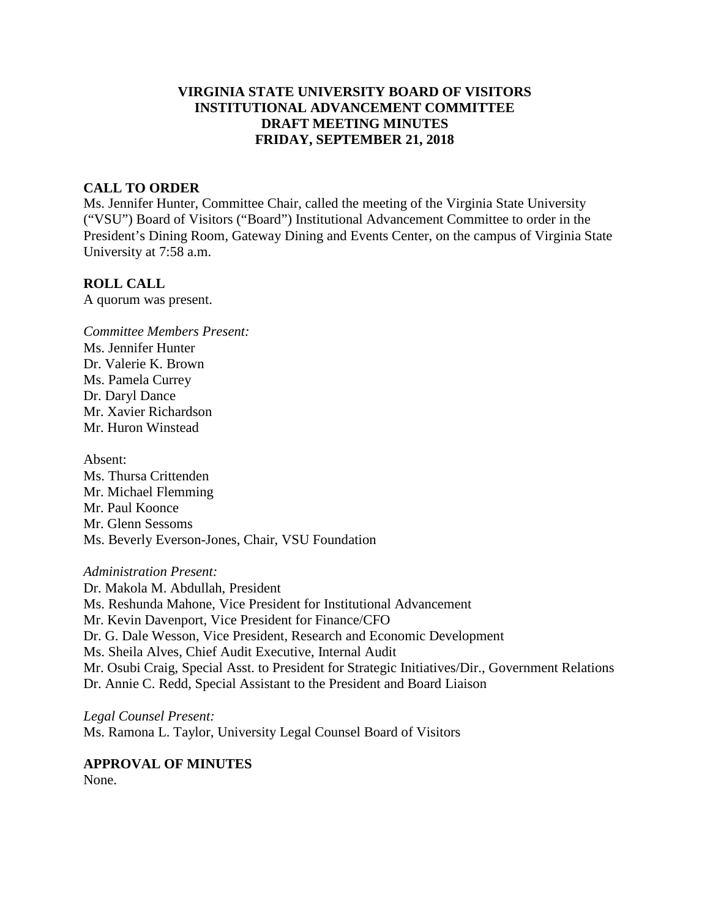# **VIRGINIA STATE UNIVERSITY BOARD OF VISITORS INSTITUTIONAL ADVANCEMENT COMMITTEE DRAFT MEETING MINUTES FRIDAY, SEPTEMBER 21, 2018**

# **CALL TO ORDER**

Ms. Jennifer Hunter, Committee Chair, called the meeting of the Virginia State University ("VSU") Board of Visitors ("Board") Institutional Advancement Committee to order in the President's Dining Room, Gateway Dining and Events Center, on the campus of Virginia State University at 7:58 a.m.

### **ROLL CALL**

A quorum was present.

*Committee Members Present:* Ms. Jennifer Hunter Dr. Valerie K. Brown Ms. Pamela Currey Dr. Daryl Dance Mr. Xavier Richardson Mr. Huron Winstead

Absent: Ms. Thursa Crittenden Mr. Michael Flemming Mr. Paul Koonce Mr. Glenn Sessoms Ms. Beverly Everson-Jones, Chair, VSU Foundation

### *Administration Present:*

Dr. Makola M. Abdullah, President Ms. Reshunda Mahone, Vice President for Institutional Advancement Mr. Kevin Davenport, Vice President for Finance/CFO Dr. G. Dale Wesson, Vice President, Research and Economic Development Ms. Sheila Alves, Chief Audit Executive, Internal Audit Mr. Osubi Craig, Special Asst. to President for Strategic Initiatives/Dir., Government Relations Dr. Annie C. Redd, Special Assistant to the President and Board Liaison

*Legal Counsel Present:*  Ms. Ramona L. Taylor, University Legal Counsel Board of Visitors

### **APPROVAL OF MINUTES**

None.